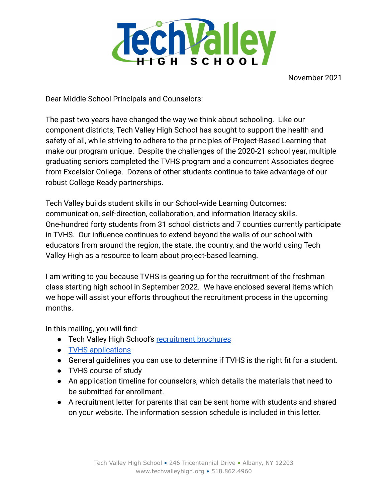

November 2021

Dear Middle School Principals and Counselors:

The past two years have changed the way we think about schooling. Like our component districts, Tech Valley High School has sought to support the health and safety of all, while striving to adhere to the principles of Project-Based Learning that make our program unique. Despite the challenges of the 2020-21 school year, multiple graduating seniors completed the TVHS program and a concurrent Associates degree from Excelsior College. Dozens of other students continue to take advantage of our robust College Ready partnerships.

Tech Valley builds student skills in our School-wide Learning Outcomes: communication, self-direction, collaboration, and information literacy skills. One-hundred forty students from 31 school districts and 7 counties currently participate in TVHS. Our influence continues to extend beyond the walls of our school with educators from around the region, the state, the country, and the world using Tech Valley High as a resource to learn about project-based learning.

I am writing to you because TVHS is gearing up for the recruitment of the freshman class starting high school in September 2022. We have enclosed several items which we hope will assist your efforts throughout the recruitment process in the upcoming months.

In this mailing, you will find:

- Tech Valley High School's [recruitment brochures](https://www.techvalleyhigh.org/wp-content/uploads/2018/08/WEB-TVHS_Recruitment-Bro-4_10_19.pdf)
- [TVHS applications](https://www.techvalleyhigh.org/wp-content/uploads/2021/10/TVHS_application_2022.pdf)
- General guidelines you can use to determine if TVHS is the right fit for a student.
- TVHS course of study
- An application timeline for counselors, which details the materials that need to be submitted for enrollment.
- A recruitment letter for parents that can be sent home with students and shared on your website. The information session schedule is included in this letter.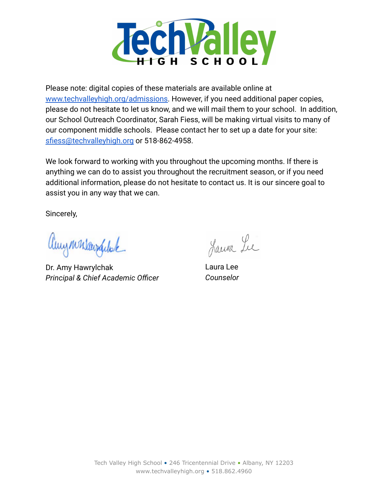

Please note: digital copies of these materials are available online at [www.techvalleyhigh.org/admissions.](http://www.techvalleyhigh.org/admissions) However, if you need additional paper copies, please do not hesitate to let us know, and we will mail them to your school. In addition, our School Outreach Coordinator, Sarah Fiess, will be making virtual visits to many of our component middle schools. Please contact her to set up a date for your site: [sfiess@techvalleyhigh.org](mailto:sfiess@techvalleyhigh.org) or 518-862-4958.

We look forward to working with you throughout the upcoming months. If there is anything we can do to assist you throughout the recruitment season, or if you need additional information, please do not hesitate to contact us. It is our sincere goal to assist you in any way that we can.

Sincerely,

augunsavadde

Dr. Amy Hawrylchak *Principal & Chief Academic Officer*

Laura Le

Laura Lee *Counselor*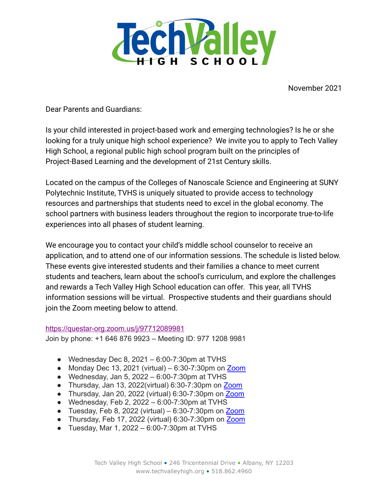

November 2021

Dear Parents and Guardians:

Is your child interested in project-based work and emerging technologies? Is he or she looking for a truly unique high school experience? We invite you to apply to Tech Valley High School, a regional public high school program built on the principles of Project-Based Learning and the development of 21st Century skills.

Located on the campus of the Colleges of Nanoscale Science and Engineering at SUNY Polytechnic Institute, TVHS is uniquely situated to provide access to technology resources and partnerships that students need to excel in the global economy. The school partners with business leaders throughout the region to incorporate true-to-life experiences into all phases of student learning.

We encourage you to contact your child's middle school counselor to receive an application, and to attend one of our information sessions. The schedule is listed below. These events give interested students and their families a chance to meet current students and teachers, learn about the school's curriculum, and explore the challenges and rewards a Tech Valley High School education can offer. This year, all TVHS information sessions will be virtual. Prospective students and their guardians should join the Zoom meeting below to attend.

#### <https://questar-org.zoom.us/j/97712089981>

Join by phone: +1 646 876 9923 – Meeting ID: 977 1208 9981

- Wednesday Dec 8, 2021 6:00-7:30pm at TVHS
- Monday Dec 13, 2021 (virtual) 6:30-7:30pm on  $\frac{Zoom}{Z}$  $\frac{Zoom}{Z}$  $\frac{Zoom}{Z}$
- Wednesday, Jan 5, 2022 6:00-7:30pm at TVHS
- Thursday, Jan 13, 2022(virtual) 6:30-7:30pm on [Zoom](https://questar-org.zoom.us/j/97712089981)
- Thursday, Jan 20, 2022 (virtual) 6:30-7:30pm on [Zoom](https://questar-org.zoom.us/j/97712089981)
- Wednesday, Feb 2, 2022 6:00-7:30pm at TVHS
- Tuesday, Feb 8, 2022 (virtual)  $6:30-7:30$ pm on [Zoom](https://questar-org.zoom.us/j/97712089981)
- Thursday, Feb 17, 2022 (virtual) 6:30-7:30pm on [Zoom](https://questar-org.zoom.us/j/97712089981)
- Tuesday, Mar 1, 2022  $-6:00-7:30$ pm at TVHS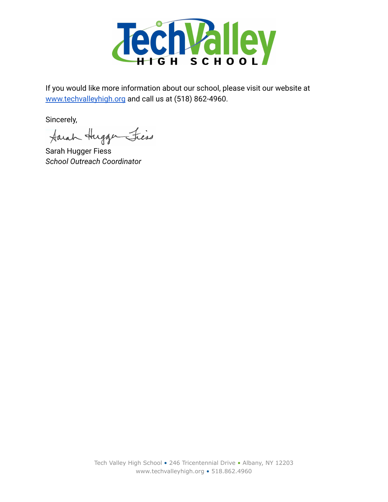

If you would like more information about our school, please visit our website at [www.techvalleyhigh.org](http://www.techvalleyhigh.org) and call us at (518) 862-4960.

Sincerely,

tarah Hugger Fries

Sarah Hugger Fiess *School Outreach Coordinator*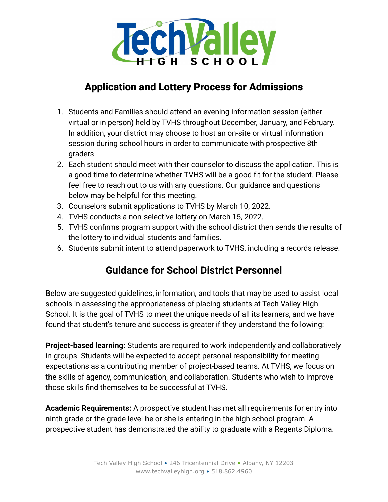

## Application and Lottery Process for Admissions

- 1. Students and Families should attend an evening information session (either virtual or in person) held by TVHS throughout December, January, and February. In addition, your district may choose to host an on-site or virtual information session during school hours in order to communicate with prospective 8th graders.
- 2. Each student should meet with their counselor to discuss the application. This is a good time to determine whether TVHS will be a good fit for the student. Please feel free to reach out to us with any questions. Our guidance and questions below may be helpful for this meeting.
- 3. Counselors submit applications to TVHS by March 10, 2022.
- 4. TVHS conducts a non-selective lottery on March 15, 2022.
- 5. TVHS confirms program support with the school district then sends the results of the lottery to individual students and families.
- 6. Students submit intent to attend paperwork to TVHS, including a records release.

## **Guidance for School District Personnel**

Below are suggested guidelines, information, and tools that may be used to assist local schools in assessing the appropriateness of placing students at Tech Valley High School. It is the goal of TVHS to meet the unique needs of all its learners, and we have found that student's tenure and success is greater if they understand the following:

**Project-based learning:** Students are required to work independently and collaboratively in groups. Students will be expected to accept personal responsibility for meeting expectations as a contributing member of project-based teams. At TVHS, we focus on the skills of agency, communication, and collaboration. Students who wish to improve those skills find themselves to be successful at TVHS.

**Academic Requirements:** A prospective student has met all requirements for entry into ninth grade or the grade level he or she is entering in the high school program. A prospective student has demonstrated the ability to graduate with a Regents Diploma.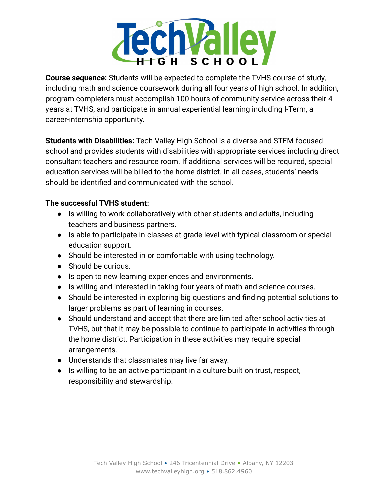

**Course sequence:** Students will be expected to complete the TVHS course of study, including math and science coursework during all four years of high school. In addition, program completers must accomplish 100 hours of community service across their 4 years at TVHS, and participate in annual experiential learning including I-Term, a career-internship opportunity.

**Students with Disabilities:** Tech Valley High School is a diverse and STEM-focused school and provides students with disabilities with appropriate services including direct consultant teachers and resource room. If additional services will be required, special education services will be billed to the home district. In all cases, students' needs should be identified and communicated with the school.

### **The successful TVHS student:**

- Is willing to work collaboratively with other students and adults, including teachers and business partners.
- Is able to participate in classes at grade level with typical classroom or special education support.
- Should be interested in or comfortable with using technology.
- Should be curious.
- Is open to new learning experiences and environments.
- Is willing and interested in taking four years of math and science courses.
- Should be interested in exploring big questions and finding potential solutions to larger problems as part of learning in courses.
- Should understand and accept that there are limited after school activities at TVHS, but that it may be possible to continue to participate in activities through the home district. Participation in these activities may require special arrangements.
- Understands that classmates may live far away.
- Is willing to be an active participant in a culture built on trust, respect, responsibility and stewardship.